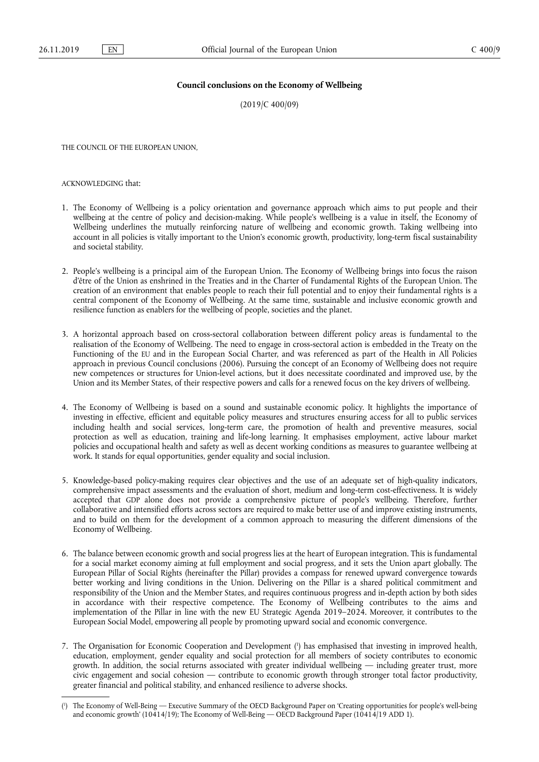## **Council conclusions on the Economy of Wellbeing**

(2019/C 400/09)

THE COUNCIL OF THE EUROPEAN UNION,

ACKNOWLEDGING that:

- 1. The Economy of Wellbeing is a policy orientation and governance approach which aims to put people and their wellbeing at the centre of policy and decision-making. While people's wellbeing is a value in itself, the Economy of Wellbeing underlines the mutually reinforcing nature of wellbeing and economic growth. Taking wellbeing into account in all policies is vitally important to the Union's economic growth, productivity, long-term fiscal sustainability and societal stability.
- 2. People's wellbeing is a principal aim of the European Union. The Economy of Wellbeing brings into focus the raison d'être of the Union as enshrined in the Treaties and in the Charter of Fundamental Rights of the European Union. The creation of an environment that enables people to reach their full potential and to enjoy their fundamental rights is a central component of the Economy of Wellbeing. At the same time, sustainable and inclusive economic growth and resilience function as enablers for the wellbeing of people, societies and the planet.
- 3. A horizontal approach based on cross-sectoral collaboration between different policy areas is fundamental to the realisation of the Economy of Wellbeing. The need to engage in cross-sectoral action is embedded in the Treaty on the Functioning of the EU and in the European Social Charter, and was referenced as part of the Health in All Policies approach in previous Council conclusions (2006). Pursuing the concept of an Economy of Wellbeing does not require new competences or structures for Union-level actions, but it does necessitate coordinated and improved use, by the Union and its Member States, of their respective powers and calls for a renewed focus on the key drivers of wellbeing.
- 4. The Economy of Wellbeing is based on a sound and sustainable economic policy. It highlights the importance of investing in effective, efficient and equitable policy measures and structures ensuring access for all to public services including health and social services, long-term care, the promotion of health and preventive measures, social protection as well as education, training and life-long learning. It emphasises employment, active labour market policies and occupational health and safety as well as decent working conditions as measures to guarantee wellbeing at work. It stands for equal opportunities, gender equality and social inclusion.
- 5. Knowledge-based policy-making requires clear objectives and the use of an adequate set of high-quality indicators, comprehensive impact assessments and the evaluation of short, medium and long-term cost-effectiveness. It is widely accepted that GDP alone does not provide a comprehensive picture of people's wellbeing. Therefore, further collaborative and intensified efforts across sectors are required to make better use of and improve existing instruments, and to build on them for the development of a common approach to measuring the different dimensions of the Economy of Wellbeing.
- 6. The balance between economic growth and social progress lies at the heart of European integration. This is fundamental for a social market economy aiming at full employment and social progress, and it sets the Union apart globally. The European Pillar of Social Rights (hereinafter the Pillar) provides a compass for renewed upward convergence towards better working and living conditions in the Union. Delivering on the Pillar is a shared political commitment and responsibility of the Union and the Member States, and requires continuous progress and in-depth action by both sides in accordance with their respective competence. The Economy of Wellbeing contributes to the aims and implementation of the Pillar in line with the new EU Strategic Agenda 2019–2024. Moreover, it contributes to the European Social Model, empowering all people by promoting upward social and economic convergence.
- 7. The Organisation for Economic Cooperation and Development ( 1 ) has emphasised that investing in improved health, education, employment, gender equality and social protection for all members of society contributes to economic growth. In addition, the social returns associated with greater individual wellbeing — including greater trust, more civic engagement and social cohesion — contribute to economic growth through stronger total factor productivity, greater financial and political stability, and enhanced resilience to adverse shocks.

<sup>(</sup> 1 ) The Economy of Well-Being — Executive Summary of the OECD Background Paper on 'Creating opportunities for people's well-being and economic growth' (10414/19); The Economy of Well-Being — OECD Background Paper (10414/19 ADD 1).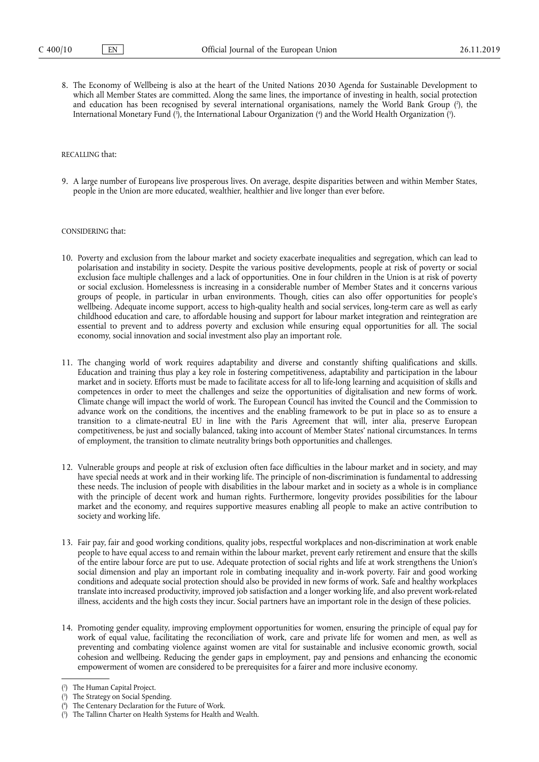8. The Economy of Wellbeing is also at the heart of the United Nations 2030 Agenda for Sustainable Development to which all Member States are committed. Along the same lines, the importance of investing in health, social protection and education has been recognised by several international organisations, namely the World Bank Group (?), the International Monetary Fund (3), the International Labour Organization (4) and the World Health Organization (9).

## RECALLING that:

9. A large number of Europeans live prosperous lives. On average, despite disparities between and within Member States, people in the Union are more educated, wealthier, healthier and live longer than ever before.

## CONSIDERING that:

- 10. Poverty and exclusion from the labour market and society exacerbate inequalities and segregation, which can lead to polarisation and instability in society. Despite the various positive developments, people at risk of poverty or social exclusion face multiple challenges and a lack of opportunities. One in four children in the Union is at risk of poverty or social exclusion. Homelessness is increasing in a considerable number of Member States and it concerns various groups of people, in particular in urban environments. Though, cities can also offer opportunities for people's wellbeing. Adequate income support, access to high-quality health and social services, long-term care as well as early childhood education and care, to affordable housing and support for labour market integration and reintegration are essential to prevent and to address poverty and exclusion while ensuring equal opportunities for all. The social economy, social innovation and social investment also play an important role.
- 11. The changing world of work requires adaptability and diverse and constantly shifting qualifications and skills. Education and training thus play a key role in fostering competitiveness, adaptability and participation in the labour market and in society. Efforts must be made to facilitate access for all to life-long learning and acquisition of skills and competences in order to meet the challenges and seize the opportunities of digitalisation and new forms of work. Climate change will impact the world of work. The European Council has invited the Council and the Commission to advance work on the conditions, the incentives and the enabling framework to be put in place so as to ensure a transition to a climate-neutral EU in line with the Paris Agreement that will, inter alia, preserve European competitiveness, be just and socially balanced, taking into account of Member States' national circumstances. In terms of employment, the transition to climate neutrality brings both opportunities and challenges.
- 12. Vulnerable groups and people at risk of exclusion often face difficulties in the labour market and in society, and may have special needs at work and in their working life. The principle of non-discrimination is fundamental to addressing these needs. The inclusion of people with disabilities in the labour market and in society as a whole is in compliance with the principle of decent work and human rights. Furthermore, longevity provides possibilities for the labour market and the economy, and requires supportive measures enabling all people to make an active contribution to society and working life.
- 13. Fair pay, fair and good working conditions, quality jobs, respectful workplaces and non-discrimination at work enable people to have equal access to and remain within the labour market, prevent early retirement and ensure that the skills of the entire labour force are put to use. Adequate protection of social rights and life at work strengthens the Union's social dimension and play an important role in combating inequality and in-work poverty. Fair and good working conditions and adequate social protection should also be provided in new forms of work. Safe and healthy workplaces translate into increased productivity, improved job satisfaction and a longer working life, and also prevent work-related illness, accidents and the high costs they incur. Social partners have an important role in the design of these policies.
- 14. Promoting gender equality, improving employment opportunities for women, ensuring the principle of equal pay for work of equal value, facilitating the reconciliation of work, care and private life for women and men, as well as preventing and combating violence against women are vital for sustainable and inclusive economic growth, social cohesion and wellbeing. Reducing the gender gaps in employment, pay and pensions and enhancing the economic empowerment of women are considered to be prerequisites for a fairer and more inclusive economy.

( 5 ) The Tallinn Charter on Health Systems for Health and Wealth.

<sup>(</sup> 2 ) The Human Capital Project.

<sup>(</sup> 3 ) The Strategy on Social Spending.

<sup>(</sup> 4 The Centenary Declaration for the Future of Work.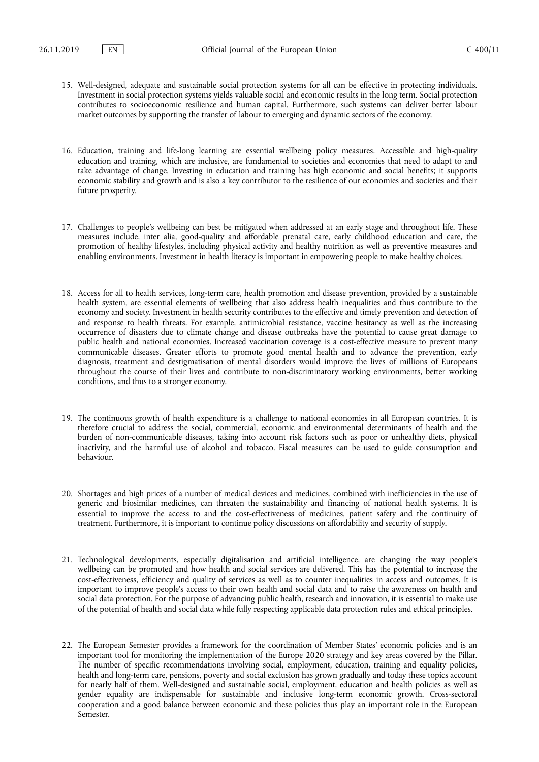- 15. Well-designed, adequate and sustainable social protection systems for all can be effective in protecting individuals. Investment in social protection systems yields valuable social and economic results in the long term. Social protection contributes to socioeconomic resilience and human capital. Furthermore, such systems can deliver better labour market outcomes by supporting the transfer of labour to emerging and dynamic sectors of the economy.
- 16. Education, training and life-long learning are essential wellbeing policy measures. Accessible and high-quality education and training, which are inclusive, are fundamental to societies and economies that need to adapt to and take advantage of change. Investing in education and training has high economic and social benefits; it supports economic stability and growth and is also a key contributor to the resilience of our economies and societies and their future prosperity.
- 17. Challenges to people's wellbeing can best be mitigated when addressed at an early stage and throughout life. These measures include, inter alia, good-quality and affordable prenatal care, early childhood education and care, the promotion of healthy lifestyles, including physical activity and healthy nutrition as well as preventive measures and enabling environments. Investment in health literacy is important in empowering people to make healthy choices.
- 18. Access for all to health services, long-term care, health promotion and disease prevention, provided by a sustainable health system, are essential elements of wellbeing that also address health inequalities and thus contribute to the economy and society. Investment in health security contributes to the effective and timely prevention and detection of and response to health threats. For example, antimicrobial resistance, vaccine hesitancy as well as the increasing occurrence of disasters due to climate change and disease outbreaks have the potential to cause great damage to public health and national economies. Increased vaccination coverage is a cost-effective measure to prevent many communicable diseases. Greater efforts to promote good mental health and to advance the prevention, early diagnosis, treatment and destigmatisation of mental disorders would improve the lives of millions of Europeans throughout the course of their lives and contribute to non-discriminatory working environments, better working conditions, and thus to a stronger economy.
- 19. The continuous growth of health expenditure is a challenge to national economies in all European countries. It is therefore crucial to address the social, commercial, economic and environmental determinants of health and the burden of non-communicable diseases, taking into account risk factors such as poor or unhealthy diets, physical inactivity, and the harmful use of alcohol and tobacco. Fiscal measures can be used to guide consumption and behaviour.
- 20. Shortages and high prices of a number of medical devices and medicines, combined with inefficiencies in the use of generic and biosimilar medicines, can threaten the sustainability and financing of national health systems. It is essential to improve the access to and the cost-effectiveness of medicines, patient safety and the continuity of treatment. Furthermore, it is important to continue policy discussions on affordability and security of supply.
- 21. Technological developments, especially digitalisation and artificial intelligence, are changing the way people's wellbeing can be promoted and how health and social services are delivered. This has the potential to increase the cost-effectiveness, efficiency and quality of services as well as to counter inequalities in access and outcomes. It is important to improve people's access to their own health and social data and to raise the awareness on health and social data protection. For the purpose of advancing public health, research and innovation, it is essential to make use of the potential of health and social data while fully respecting applicable data protection rules and ethical principles.
- 22. The European Semester provides a framework for the coordination of Member States' economic policies and is an important tool for monitoring the implementation of the Europe 2020 strategy and key areas covered by the Pillar. The number of specific recommendations involving social, employment, education, training and equality policies, health and long-term care, pensions, poverty and social exclusion has grown gradually and today these topics account for nearly half of them. Well-designed and sustainable social, employment, education and health policies as well as gender equality are indispensable for sustainable and inclusive long-term economic growth. Cross-sectoral cooperation and a good balance between economic and these policies thus play an important role in the European Semester.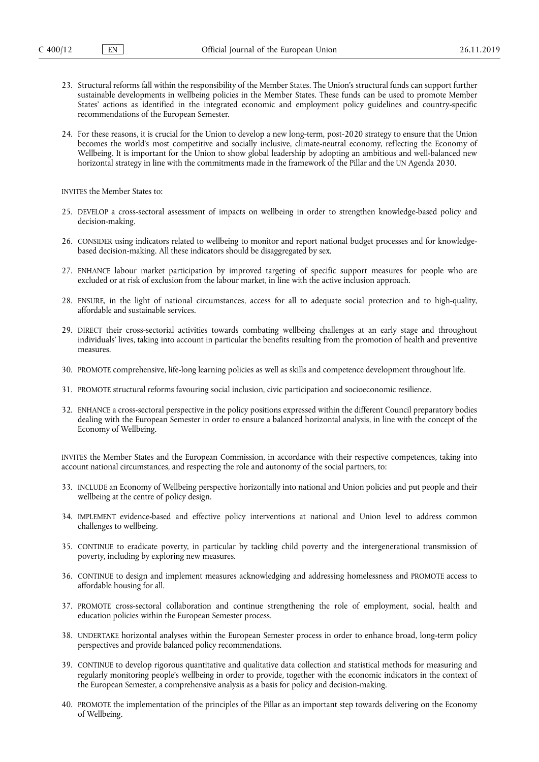- 23. Structural reforms fall within the responsibility of the Member States. The Union's structural funds can support further sustainable developments in wellbeing policies in the Member States. These funds can be used to promote Member States' actions as identified in the integrated economic and employment policy guidelines and country-specific recommendations of the European Semester.
- 24. For these reasons, it is crucial for the Union to develop a new long-term, post-2020 strategy to ensure that the Union becomes the world's most competitive and socially inclusive, climate-neutral economy, reflecting the Economy of Wellbeing. It is important for the Union to show global leadership by adopting an ambitious and well-balanced new horizontal strategy in line with the commitments made in the framework of the Pillar and the UN Agenda 2030.

INVITES the Member States to:

- 25. DEVELOP a cross-sectoral assessment of impacts on wellbeing in order to strengthen knowledge-based policy and decision-making.
- 26. CONSIDER using indicators related to wellbeing to monitor and report national budget processes and for knowledgebased decision-making. All these indicators should be disaggregated by sex.
- 27. ENHANCE labour market participation by improved targeting of specific support measures for people who are excluded or at risk of exclusion from the labour market, in line with the active inclusion approach.
- 28. ENSURE, in the light of national circumstances, access for all to adequate social protection and to high-quality, affordable and sustainable services.
- 29. DIRECT their cross-sectorial activities towards combating wellbeing challenges at an early stage and throughout individuals' lives, taking into account in particular the benefits resulting from the promotion of health and preventive measures.
- 30. PROMOTE comprehensive, life-long learning policies as well as skills and competence development throughout life.
- 31. PROMOTE structural reforms favouring social inclusion, civic participation and socioeconomic resilience.
- 32. ENHANCE a cross-sectoral perspective in the policy positions expressed within the different Council preparatory bodies dealing with the European Semester in order to ensure a balanced horizontal analysis, in line with the concept of the Economy of Wellbeing.

INVITES the Member States and the European Commission, in accordance with their respective competences, taking into account national circumstances, and respecting the role and autonomy of the social partners, to:

- 33. INCLUDE an Economy of Wellbeing perspective horizontally into national and Union policies and put people and their wellbeing at the centre of policy design.
- 34. IMPLEMENT evidence-based and effective policy interventions at national and Union level to address common challenges to wellbeing.
- 35. CONTINUE to eradicate poverty, in particular by tackling child poverty and the intergenerational transmission of poverty, including by exploring new measures.
- 36. CONTINUE to design and implement measures acknowledging and addressing homelessness and PROMOTE access to affordable housing for all.
- 37. PROMOTE cross-sectoral collaboration and continue strengthening the role of employment, social, health and education policies within the European Semester process.
- 38. UNDERTAKE horizontal analyses within the European Semester process in order to enhance broad, long-term policy perspectives and provide balanced policy recommendations.
- 39. CONTINUE to develop rigorous quantitative and qualitative data collection and statistical methods for measuring and regularly monitoring people's wellbeing in order to provide, together with the economic indicators in the context of the European Semester, a comprehensive analysis as a basis for policy and decision-making.
- 40. PROMOTE the implementation of the principles of the Pillar as an important step towards delivering on the Economy of Wellbeing.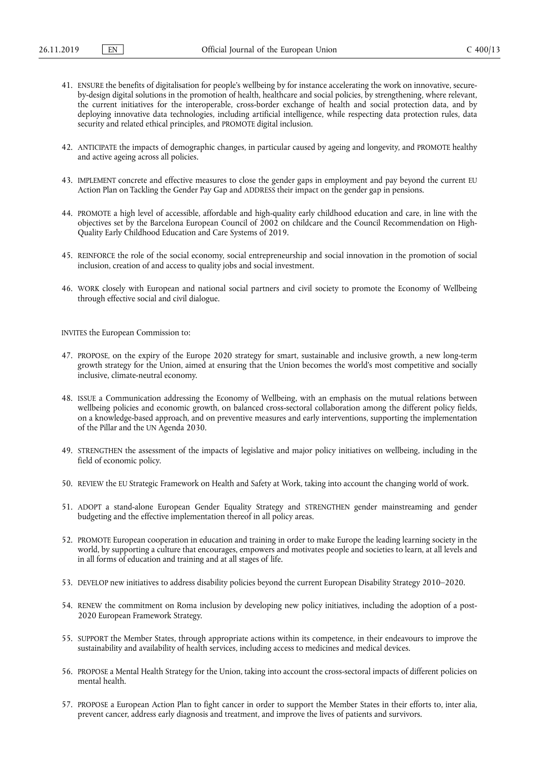- 41. ENSURE the benefits of digitalisation for people's wellbeing by for instance accelerating the work on innovative, secureby-design digital solutions in the promotion of health, healthcare and social policies, by strengthening, where relevant, the current initiatives for the interoperable, cross-border exchange of health and social protection data, and by deploying innovative data technologies, including artificial intelligence, while respecting data protection rules, data security and related ethical principles, and PROMOTE digital inclusion.
- 42. ANTICIPATE the impacts of demographic changes, in particular caused by ageing and longevity, and PROMOTE healthy and active ageing across all policies.
- 43. IMPLEMENT concrete and effective measures to close the gender gaps in employment and pay beyond the current EU Action Plan on Tackling the Gender Pay Gap and ADDRESS their impact on the gender gap in pensions.
- 44. PROMOTE a high level of accessible, affordable and high-quality early childhood education and care, in line with the objectives set by the Barcelona European Council of 2002 on childcare and the Council Recommendation on High-Quality Early Childhood Education and Care Systems of 2019.
- 45. REINFORCE the role of the social economy, social entrepreneurship and social innovation in the promotion of social inclusion, creation of and access to quality jobs and social investment.
- 46. WORK closely with European and national social partners and civil society to promote the Economy of Wellbeing through effective social and civil dialogue.

INVITES the European Commission to:

- 47. PROPOSE, on the expiry of the Europe 2020 strategy for smart, sustainable and inclusive growth, a new long-term growth strategy for the Union, aimed at ensuring that the Union becomes the world's most competitive and socially inclusive, climate-neutral economy.
- 48. ISSUE a Communication addressing the Economy of Wellbeing, with an emphasis on the mutual relations between wellbeing policies and economic growth, on balanced cross-sectoral collaboration among the different policy fields, on a knowledge-based approach, and on preventive measures and early interventions, supporting the implementation of the Pillar and the UN Agenda 2030.
- 49. STRENGTHEN the assessment of the impacts of legislative and major policy initiatives on wellbeing, including in the field of economic policy.
- 50. REVIEW the EU Strategic Framework on Health and Safety at Work, taking into account the changing world of work.
- 51. ADOPT a stand-alone European Gender Equality Strategy and STRENGTHEN gender mainstreaming and gender budgeting and the effective implementation thereof in all policy areas.
- 52. PROMOTE European cooperation in education and training in order to make Europe the leading learning society in the world, by supporting a culture that encourages, empowers and motivates people and societies to learn, at all levels and in all forms of education and training and at all stages of life.
- 53. DEVELOP new initiatives to address disability policies beyond the current European Disability Strategy 2010–2020.
- 54. RENEW the commitment on Roma inclusion by developing new policy initiatives, including the adoption of a post-2020 European Framework Strategy.
- 55. SUPPORT the Member States, through appropriate actions within its competence, in their endeavours to improve the sustainability and availability of health services, including access to medicines and medical devices.
- 56. PROPOSE a Mental Health Strategy for the Union, taking into account the cross-sectoral impacts of different policies on mental health.
- 57. PROPOSE a European Action Plan to fight cancer in order to support the Member States in their efforts to, inter alia, prevent cancer, address early diagnosis and treatment, and improve the lives of patients and survivors.